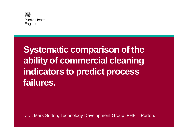

# **Systematic comparison of the ability of commercial cleaning indicators to predict process failures.**

Dr J. Mark Sutton, Technology Development Group, PHE – Porton.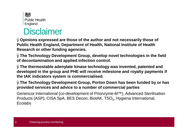

## **Disclaimer**

Ø**Opinions expressed are those of the author and not necessarily those of Public Health England, Department of Health, National Institute of Health Research or other funding agencies.** 

Ø**The Technology Development Group, develop novel technologies in the field of decontamination and applied infection control.** 

Ø**The thermostable adenylate kinase technology was invented, patented and developed in the group and PHE will receive milestone and royalty payments if the tAK indicators system is commercialised.** 

Ø**The Technology Development Group, Porton Down has been funded by or has provided services and advice to a number of commercial parties** 

Genencor International (co-development of Prionzyme-M™), Advanced Sterilisation Products (ASP), CISA SpA, BES Decon, BiotAK, TSO<sub>3</sub>, Hygiena International, **Ecolabs**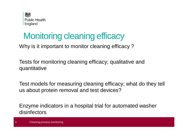

# Monitoring cleaning efficacy

Why is it important to monitor cleaning efficacy ?

Tests for monitoring cleaning efficacy; qualitative and quantitative

Test models for measuring cleaning efficacy; what do they tell us about protein removal and test devices?

Enzyme indicators in a hospital trial for automated washer disinfectors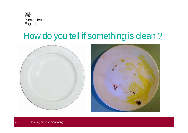

# How do you tell if something is clean ?



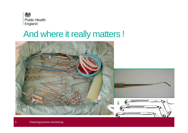

# And where it really matters !

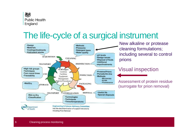

# The life-cycle of a surgical instrument



New alkaline or protease cleaning formulations; including several to control prions

#### Visual inspection

Assessment of protein residue (surrogate for prion removal)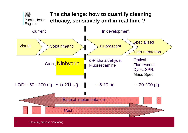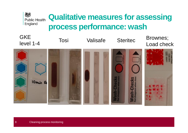#### **Qualitative measures for assessing Public Health** England **process performance: wash**



独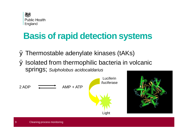

# **Basis of rapid detection systems**

Ø Thermostable adenylate kinases (tAKs) Ø Isolated from thermophilic bacteria in volcanic springs; *Sulpholobus acidocaldarius*

 $2$  ADP  $\overrightarrow{2}$  AMP + ATP Light Luciferin /luciferase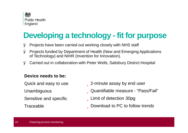

## **Developing a technology - fit for purpose**

- Ø Projects have been carried out working closely with NHS staff
- Ø Projects funded by Department of Health (New and Emerging Applications of Technology) and NIHR (Invention for Innovation).
- Ø Carried out in collaboration with Peter Wells, Salisbury District Hospital

#### **Device needs to be:**

Quick and easy to use Unambiguous Sensitive and specific

**Traceable** 

*<u>u</u>*2-minute assay by end user üQuantifiable measure - "Pass/Fail" **ULimit of detection 30pg** üDownload to PC to follow trends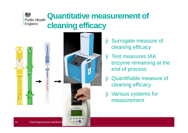## **Quantitative measurement of Public Health cleaning efficacy**



梅

England



- Ø Surrogate measure of cleaning efficacy
- Ø Test measures tAK enzyme remaining at the end of process
- Ø Quantifiable measure of cleaning efficacy
- Ø Various systems for measurement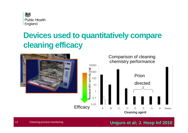

## **Devices used to quantitatively compare cleaning efficacy**



#### **Ungurs et al; J. Hosp Inf 2010**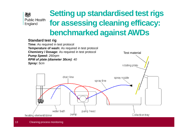

## **Setting up standardised testrigs for assessing cleaning efficacy: benchmarked against AWDs**

#### **Standard test rig**

**Time:** As required in test protocol **Temperature of wash:** As required in test protocol **Chemistry / Dosage:** As required in test protocol Test material *Pump Speed: 260rpm RPM of plate (diameter 30cm): 40 Spray: 5cm* rotating plate

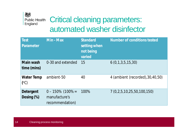#### 燃 **Public Health** England

## Critical cleaning parameters: automated washer disinfector

| <b>Test</b><br>Parameter          | Min - Max                                               | <b>Standard</b><br>setting when<br>not being<br>varied | <b>Number of conditions tested</b> |
|-----------------------------------|---------------------------------------------------------|--------------------------------------------------------|------------------------------------|
| Main wash<br>time (mins)          | 0-30 and extended                                       | 15                                                     | 6(0,1,3,5,15,30)                   |
| <b>Water Temp</b><br>$(^\circ C)$ | ambient-50                                              | 40                                                     | 4 (ambient (recorded), 30, 40, 50) |
| Detergent<br>Dosing (%)           | $0 - 150\%$ (100% =<br>manufacture's<br>recommendation) | 100%                                                   | 7 (0,2,5,10,25,50,100,150)         |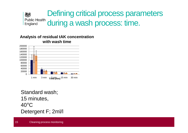

#### **Analysis of residual tAK concentration with wash time**



Standard wash; minutes, °C Detergent F; 2ml/l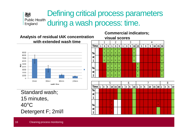### Defining critical process parameters 娘 Public Health during a wash process: time.

**Analysis of residual tAK concentration with extended wash time** 9000 **Te** 8000 **st**  7000 **1** 6000  $\Rightarrow$  5000  $\vec{e}$  4000 **Te** 3000 **st**  2000 1000 **2**  $\Omega$ 15<sub>mir</sub> 30min 60<sub>min</sub> 120min wash time **Te** Standard wash; **st**  15 minutes, **1** 40°C

Detergent F; 2ml/l

**Commercial indicators; visual scores**



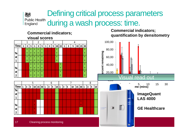### Defining critical process parameters 娘 Public Health during a wash process: time.

**Commercial indicators; visual scores**

**Commercial indicators; quantification by densitometry** 

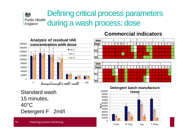### Defining critical process parameters 独 Public Health during a wash process: dose

**Detergent : Indicator:** 1



### **Commercial indicators**

**Detergent** 0 2 5 10 25 50 100 0 2 5 10 0 2 5 10 25 0 2 5 10 25 50 100

**Indicator:** 5 6 7 8

0 2 5 10 25 0 2 5 0 2 5 10 25 50 100 0 2 5 10 25 50 100

\*\* \*\* \*\* \*\* \*\* \*\* \*\* \*\*

 $\star$ 

2 3 4



\*\* \*\* \*\*

¥¥.

Standard wash 15 minutes, 40°C Detergent F 2ml/l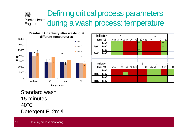#### Defining critical process parameters 想 **Public Health** during a wash process: temperature England



| Indicator |                  | 1            | $\overline{2}$  | 3   |    | 4      |                 |        |                 |        |      |                 |
|-----------|------------------|--------------|-----------------|-----|----|--------|-----------------|--------|-----------------|--------|------|-----------------|
| Temp (°C) |                  | Amb          | Amb             | Amb | 30 | 40     |                 | 50 Amb | 30 <sub>l</sub> | 40     | 50   |                 |
|           | Rep 1            | $**$         | $\star$         |     |    |        | $***$           |        |                 |        | $**$ |                 |
| Test 1    | Rep <sub>2</sub> | $**$         | $\star$         |     |    |        | $***$           |        |                 |        | $**$ |                 |
|           | Rep 1            | $**$         | $\star$         |     |    |        | $***$           |        |                 |        | $**$ |                 |
| Test 2    | Rep 2            | $\star\star$ |                 |     |    |        | $***$           |        |                 |        | $**$ |                 |
|           |                  |              |                 |     |    |        |                 |        |                 |        |      |                 |
|           |                  |              |                 |     |    |        |                 |        |                 |        |      |                 |
|           | Indicator        |              | 5               |     |    |        |                 | 6      |                 |        |      | 8               |
|           | Temp (°C)        | Amb          | 30 <sub>l</sub> | 40  |    | 50 Amb | 30 <sub>l</sub> | 40     |                 | 50 Amb | Amb  | 30 <sub>l</sub> |
|           | Rep 1            |              |                 |     |    |        |                 |        | $\star$         |        |      |                 |
| Test 1    | Rep 2            |              |                 |     |    |        |                 |        | $\star$         |        |      |                 |
|           | Rep 1            |              |                 |     |    |        |                 |        |                 |        |      |                 |
| Test 2    | Rep 2            |              |                 |     |    |        |                 |        |                 |        |      |                 |

Standard wash 15 minutes, 40°C Detergent F 2ml/l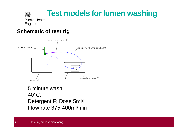

### **Schematic of test rig**



### 5 minute wash, 40°C, Detergent F; Dose 5ml/l Flow rate 375-400ml/min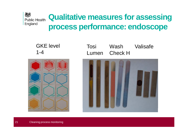#### 燃 **Qualitative measures for assessing Public Health** England **process performance: endoscope**

GKE level 1-4



Tosi Lumen Wash Check H Valisafe

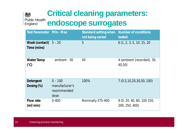## **Critical cleaning parameters:**  娘 **endoscope surrogates**

| <b>Test Parameter Min - Max</b> |                                                    | Standard setting when<br>not being varied | <b>Number of conditions</b><br>tested        |
|---------------------------------|----------------------------------------------------|-------------------------------------------|----------------------------------------------|
| Wash (contact)<br>Time (mins)   | $5 - 20$                                           | 5                                         | 6(1, 2, 3, 5, 10, 15, 20)                    |
| Water Temp<br>$(^{\circ}C)$     | ambient - 50                                       | 40                                        | 4 (ambient (recorded), 30,<br>40,50)         |
| Detergent<br>Dosing $(\%)$      | $0 - 100$<br>manufacturer's<br>recommended<br>dose | 100%                                      | 7 (0,5,10,20,30,50, 100)                     |
| <b>Flow rate</b><br>(mI/min)    | $0 - 400$                                          | Nominally 375-400                         | 9(0, 20, 40, 80, 100, 150)<br>200, 250, 400) |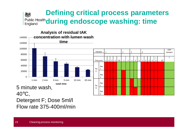#### **Defining critical process parameters**  娘 **Public Health during endoscope washing: time** England



Detergent F; Dose 5ml/l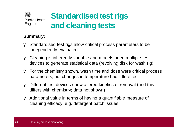

#### **Summary:**

- Ø Standardised test rigs allow critical process parameters to be independently evaluated
- Ø Cleaning is inherently variable and models need multiple test devices to generate statistical data (revolving disk for wash rig)
- Ø For the chemistry shown, wash time and dose were critical process parameters, but changes in temperature had little effect
- Ø Different test devices show altered kinetics of removal (and this differs with chemistry; data not shown)
- Ø Additional value in terms of having a quantifiable measure of cleaning efficacy; e.g. detergent batch issues.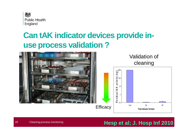

## **Can tAK indicator devices provide inuse process validation ?**



## **Hesp et al; J. Hosp Inf 2010**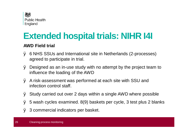

# **Extended hospital trials: NIHR I4I**

#### **AWD Field trial**

- Ø 6 NHS SSUs and International site in Netherlands (2-processes) agreed to participate in trial.
- Ø Designed as an in-use study with no attempt by the project team to influence the loading of the AWD
- Ø A risk-assessment was performed at each site with SSU and infection control staff.
- Ø Study carried out over 2 days within a single AWD where possible
- Ø 5 wash cycles examined. 8(9) baskets per cycle, 3 test plus 2 blanks
- Ø 3 commercial indicators per basket.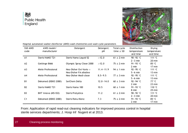



Hospital automated washer disinfector (AWD) wash chemistries and wash cycle parameters

| SSD AWD<br>code | AWD model/<br>manufacturer | Detergent                | Detergent<br>рH | Total cycle<br>time $\pm$ SD | Disinfection<br>temperature<br>and time | Drying<br>temperature<br>and time |
|-----------------|----------------------------|--------------------------|-----------------|------------------------------|-----------------------------------------|-----------------------------------|
| A1              | Steris HAMO T21            | Steris Hamo Liguid 52    | >12.0           | $61 \pm 2$ min               | 90-92 °C                                | 111 °C                            |
|                 |                            |                          |                 |                              | $2-3$ min                               | 20 min                            |
| A2              | Gettinge 8666              | Olympic Spray Clean 2000 | >12.0           | $75 \pm 2$ min               | 91-93 °C                                | 85 °C                             |
|                 |                            |                          |                 |                              | 2 min                                   | 17 min                            |
| A3              | Miele Professional         | Neo-Disher Oxi-Vario $+$ | $11.4 - 11.9$   | $94 \pm 1$ min               | 92-95 °C                                | 111 °C                            |
|                 |                            | Neo-Disher FA alkaline   |                 |                              | $5-6$ min                               | 13 min                            |
| A4              | Miele Professional         | Neo-Disher Medi-clean    | $8.5 - 9.5$     | $77 \pm 3$ min               | 92-95 °C                                | 111 °C                            |
|                 |                            |                          |                 |                              | $5-6$ min                               | 13 min                            |
| <b>B1</b>       | Dekomed (DEKO 2000)        | SerChem Delta            | $12.0 - 14.0$   | $60 \pm 3$ min               | 92-94 °C                                | 77 °C                             |
|                 |                            |                          |                 |                              | 2 min                                   | 23 min                            |
| B2              | Steris HAMO T21            | Steris Hamo 100          | 10.5            | $60 \pm 1$ min               | 91-93 °C                                | 110 °C                            |
|                 |                            |                          |                 |                              | 8 min                                   | 25 min                            |
| B3              | BHT Innova (M5-ISO)        | Steris Prolystica        | 11.2            | $61 \pm 2$ min               | 90-92 °C                                | 111 °C                            |
|                 |                            |                          |                 |                              | $2-3$ min                               | 20 min                            |
| C <sub>1</sub>  | Dekomed (DEKO 2000)        | Steris Renu Klenz        | 7.3             | $75 \pm 2$ min               | 91-93 °C                                | 85 °C                             |
|                 |                            |                          |                 |                              | 2 min                                   | 17 min                            |

From: Application of rapid read-out cleaning indicators for improved process control in hospital sterile services departments; J. Hosp Inf Nugent et al 2013.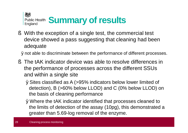

§ With the exception of a single test, the commercial test device showed a pass suggesting that cleaning had been adequate

Ønot able to discriminate between the performance of different processes.

- § The tAK indicator device was able to resolve differences in the performance of processes across the different SSUs and within a single site
	- ØSites classified as A (>95% indicators below lower limited of detection), B (>60% below LLOD) and C (0% below LLOD) on the basis of cleaning performance
	- ØWhere the tAK indicator identified that processes cleaned to the limits of detection of the assay (10pg), this demonstrated a greater than 5.69-log removal of the enzyme.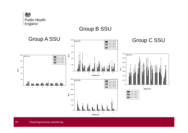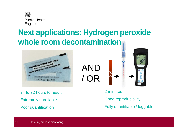

## **Next applications: Hydrogen peroxide whole room decontamination**

AND

/ OR



24 to 72 hours to result Extremely unreliable Poor quantification

2 minutes

Good reproducibility

Fully quantifiable / loggable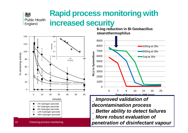### **Rapid process monitoring with**  Public Health **increased security**



如

England

**6-log reduction in BI Geobacillus stearothermophilus**



ü*Improved validation of decontamination process* ü*Better ability to detect failures* ü*More robust evaluation of*  **Cleaning process monitoring <b>Cleaning process** monitoring *penetration* of disinfectant vapour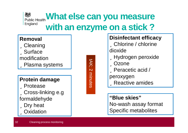#### 矮 **What else can you measure** Public Health England **with an enzyme on a stick ?**

#### **Removal**

**üCleaning** üSurface modification üPlasma systems

### **Protein damage**

üProtease üCross-linking e.g formaldehyde üDry heat üOxidation

tAK; minu ನ<br>೧

## **Disinfectant efficacy** üChlorine / chlorine dioxide üHydrogen peroxide üOzone üPeracetic acid / peroxygen üReactive amides

#### **"Blue skies"**

No-wash assay format Specific metabolites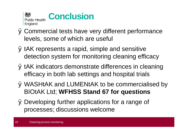

- Ø Commercial tests have very different performance levels, some of which are useful
- Ø tAK represents a rapid, simple and sensitive detection system for monitoring cleaning efficacy
- Ø tAK indicators demonstrate differences in cleaning efficacy in both lab settings and hospital trials
- Ø WASHtAK and LUMENtAK to be commercialised by BIOtAK Ltd; **WFHSS Stand 67 for questions**
- Ø Developing further applications for a range of processes; discussions welcome